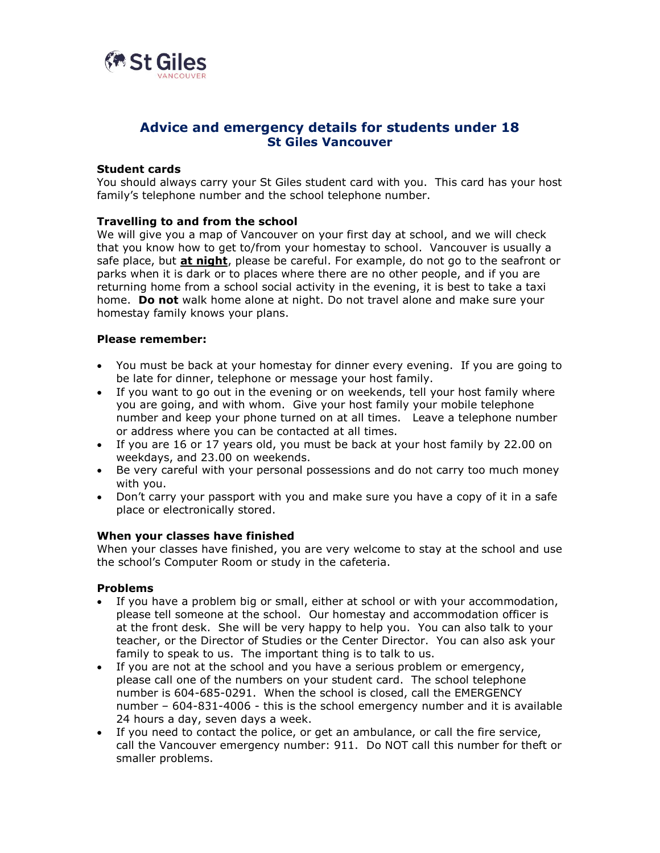

# **Advice and emergency details for students under 18 St Giles Vancouver**

# **Student cards**

You should always carry your St Giles student card with you. This card has your host family's telephone number and the school telephone number.

# **Travelling to and from the school**

We will give you a map of Vancouver on your first day at school, and we will check that you know how to get to/from your homestay to school. Vancouver is usually a safe place, but **at night**, please be careful. For example, do not go to the seafront or parks when it is dark or to places where there are no other people, and if you are returning home from a school social activity in the evening, it is best to take a taxi home. **Do not** walk home alone at night. Do not travel alone and make sure your homestay family knows your plans.

## **Please remember:**

- You must be back at your homestay for dinner every evening. If you are going to be late for dinner, telephone or message your host family.
- If you want to go out in the evening or on weekends, tell your host family where you are going, and with whom. Give your host family your mobile telephone number and keep your phone turned on at all times. Leave a telephone number or address where you can be contacted at all times.
- If you are 16 or 17 years old, you must be back at your host family by 22.00 on weekdays, and 23.00 on weekends.
- Be very careful with your personal possessions and do not carry too much money with you.
- Don't carry your passport with you and make sure you have a copy of it in a safe place or electronically stored.

#### **When your classes have finished**

When your classes have finished, you are very welcome to stay at the school and use the school's Computer Room or study in the cafeteria.

#### **Problems**

- If you have a problem big or small, either at school or with your accommodation, please tell someone at the school. Our homestay and accommodation officer is at the front desk. She will be very happy to help you. You can also talk to your teacher, or the Director of Studies or the Center Director. You can also ask your family to speak to us. The important thing is to talk to us.
- If you are not at the school and you have a serious problem or emergency, please call one of the numbers on your student card. The school telephone number is 604-685-0291. When the school is closed, call the EMERGENCY number – 604-831-4006 - this is the school emergency number and it is available 24 hours a day, seven days a week.
- If you need to contact the police, or get an ambulance, or call the fire service, call the Vancouver emergency number: 911. Do NOT call this number for theft or smaller problems.